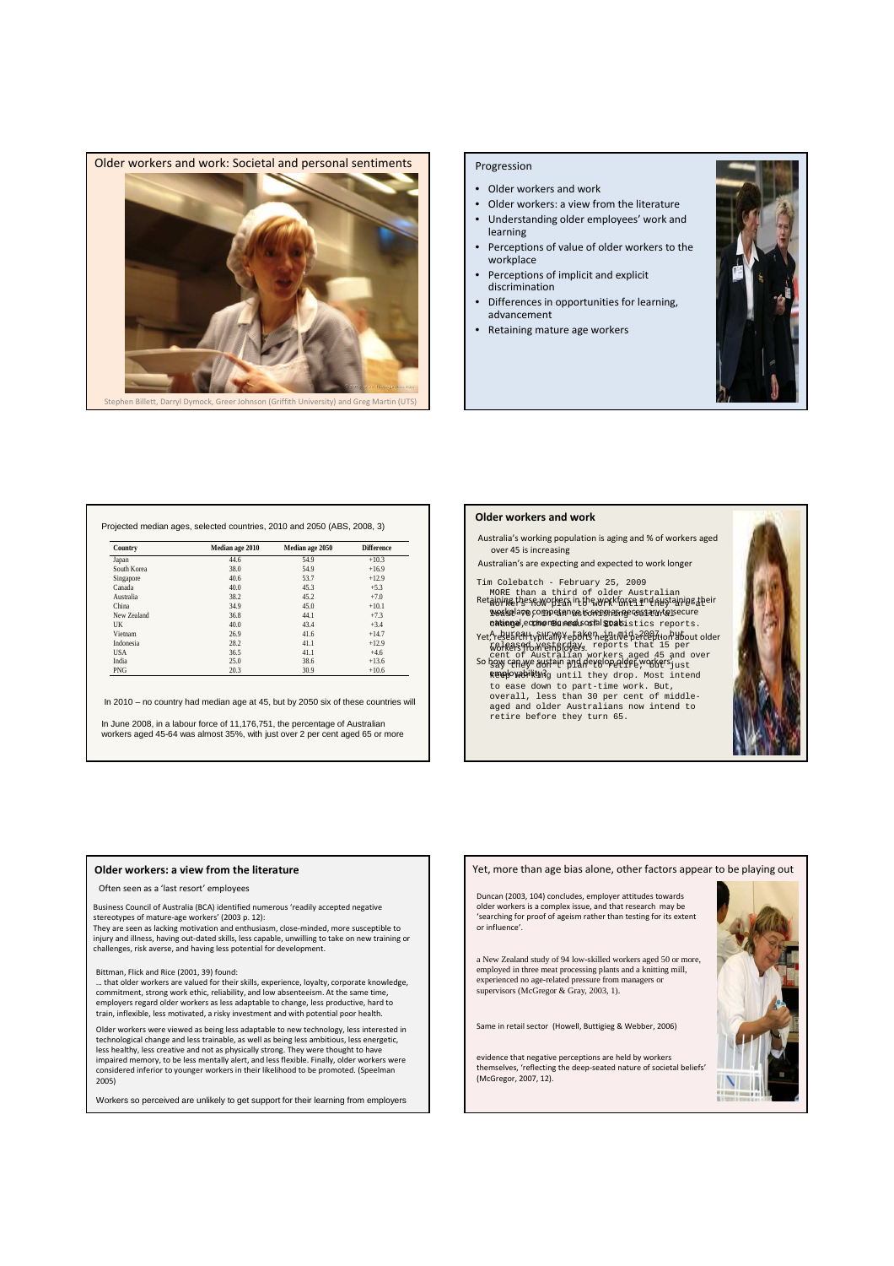

### Progression

- Older workers and work
- Older workers: a view from the literature • Understanding older employees' work and
- learning • Perceptions of value of older workers to the workplace
- Perceptions of implicit and explicit discrimination
- Differences in opportunities for learning, advancement
- Retaining mature age workers



| Country     | Median age 2010 | Median age 2050 | <b>Difference</b> |
|-------------|-----------------|-----------------|-------------------|
| Japan       | 44.6            | 54.9            | $+10.3$           |
| South Korea | 38.0            | 54.9            | $+16.9$           |
| Singapore   | 40.6            | 53.7            | $+12.9$           |
| Canada      | 40.0            | 45.3            | $+5.3$            |
| Australia   | 38.2            | 45.2            | $+7.0$            |
| China       | 34.9            | 45.0            | $+10.1$           |
| New Zealand | 36.8            | 44.1            | $+7.3$            |
| UK          | 40.0            | 43.4            | $+3.4$            |
| Vietnam     | 26.9            | 41.6            | $+14.7$           |
| Indonesia   | 28.2            | 41.1            | $+12.9$           |
| <b>USA</b>  | 36.5            | 41.1            | $+4.6$            |
| India       | 25.0            | 38.6            | $+13.6$           |
| <b>PNG</b>  | 20.3            | 30.9            | $+10.6$           |

In 2010 – no country had median age at 45, but by 2050 six of these countries will

In June 2008, in a labour force of 11,176,751, the percentage of Australian workers aged 45-64 was almost 35%, with just over 2 per cent aged 65 or more

# Older workers and work

Australia's working population is aging and % of workers aged over 45 is increasing

Australian's are expecting and expected to work longer

Tim Colebatch - February 25, 2009

- MORE than a third of older Australian<br>@WA&LPSSRWORREAIPLORWORKGNEGIPPLAYS/ainDB1<br>WQA&Qlao@COTIDELANG&LS&REAR319FC&S13UYLQ1Secure national, coonomic and social goalsistics reports. Retaining these workers in the workforce and sustaining their<br>workplace competence is seen as necessary to secure
- Yet, research typically reports and the redeption about older<br>Workers from employers. reports that 15 per cent of Australian workers aged 45 and over<br>So how can we sustain and develop alder workers <sub>just</sub>
- keeployability? until they drop. Most intend to ease down to part-time work. But, overall, less than 30 per cent of middle-aged and older Australians now intend to retire before they turn 65.



### Older workers: a view from the literature

#### Often seen as a 'last resort' employees

Business Council of Australia (BCA) identified numerous 'readily accepted negative stereotypes of mature-age workers' (2003 p. 12):

They are seen as lacking motivation and enthusiasm, close-minded, more susceptible to injury and illness, having out-dated skills, less capable, unwilling to take on new training or challenges, risk averse, and having less potential for development.

### Bittman, Flick and Rice (2001, 39) found:

… that older workers are valued for their skills, experience, loyalty, corporate knowledge, commitment, strong work ethic, reliability, and low absenteeism. At the same time, employers regard older workers as less adaptable to change, less productive, hard to train, inflexible, less motivated, a risky investment and with potential poor health.

Older workers were viewed as being less adaptable to new technology, less interested in technological change and less trainable, as well as being less ambitious, less energetic,<br>less healthy, less creative and not as physically strong. They were thought to have<br>impaired memory, to be less mentally alert, and considered inferior to younger workers in their likelihood to be promoted. (Speelman 2005)

Workers so perceived are unlikely to get support for their learning from employers

Yet, more than age bias alone, other factors appear to be playing out

Duncan (2003, 104) concludes, employer attitudes towards older workers is a complex issue, and that research may be 'searching for proof of ageism rather than testing for its extent or influence'.

a New Zealand study of 94 low-skilled workers aged 50 or more, employed in three meat processing plants and a knitting mill, experienced no age-related pressure from managers or supervisors (McGregor & Gray, 2003, 1).

Same in retail sector (Howell, Buttigieg & Webber, 2006)

evidence that negative perceptions are held by workers themselves, 'reflecting the deep-seated nature of societal beliefs' (McGregor, 2007, 12).

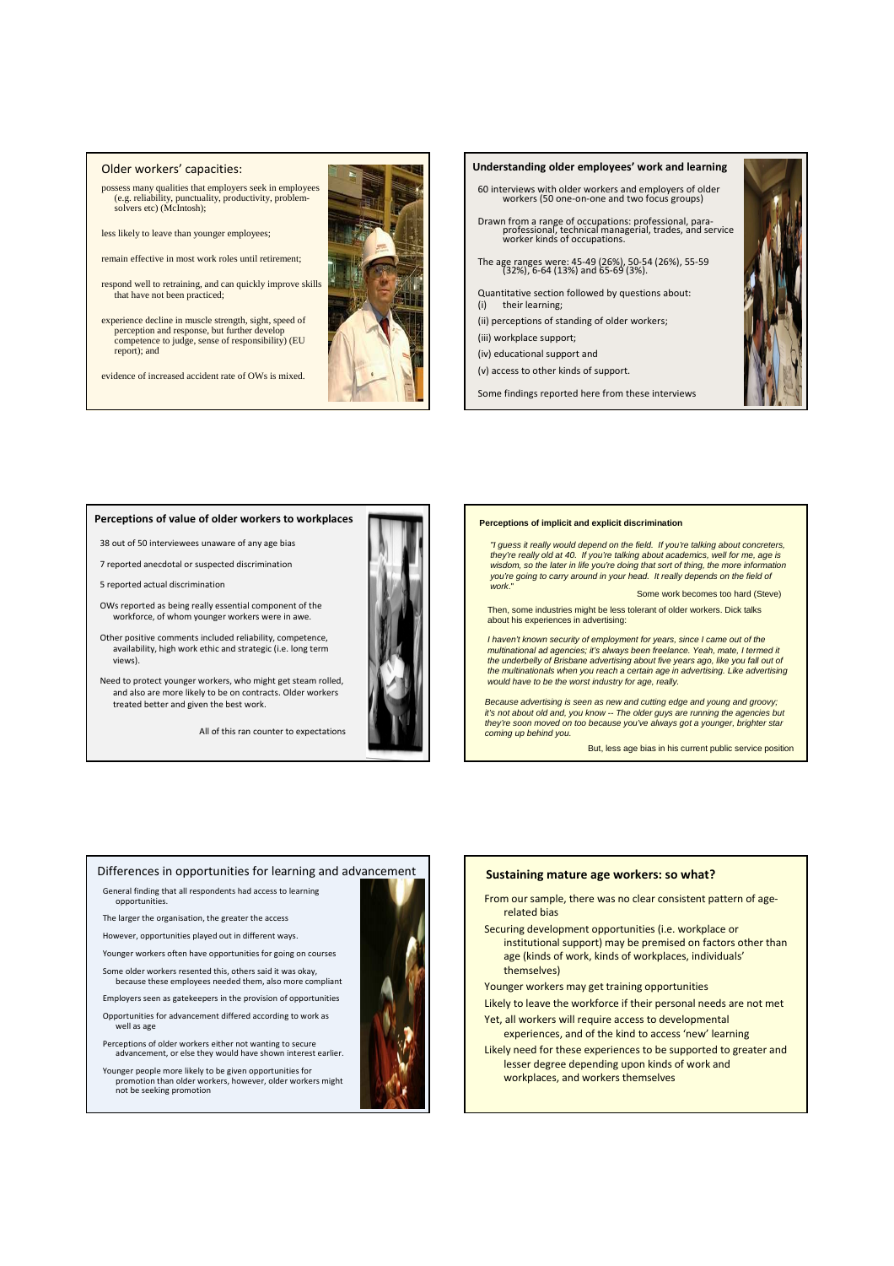### Older workers' capacities:

possess many qualities that employers seek in employees (e.g. reliability, punctuality, productivity, problem-solvers etc) (McIntosh);

- less likely to leave than younger employees;
- remain effective in most work roles until retirement;
- respond well to retraining, and can quickly improve skills that have not been practiced;
- experience decline in muscle strength, sight, speed of perception and response, but further develop competence to judge, sense of responsibility) (EU report); and

evidence of increased accident rate of OWs is mixed.



# Understanding older employees' work and learning 60 interviews with older workers and employers of older workers (50 one-on-one and two focus groups) Drawn from a range of occupations: professional, para-professional, technical managerial, trades, and service worker kinds of occupations. The age ranges were: 45-49 (26%), 50-54 (26%), 55-59 (32%), 6-64 (13%) and 65-69 (3%). Quantitative section followed by questions about: (i) their learning; (ii) perceptions of standing of older workers; (iii) workplace support; (iv) educational support and (v) access to other kinds of support. Some findings reported here from these interviews

## Perceptions of value of older workers to workplaces

38 out of 50 interviewees unaware of any age bias

7 reported anecdotal or suspected discrimination

5 reported actual discrimination

OWs reported as being really essential component of the workforce, of whom younger workers were in awe.

Other positive comments included reliability, competence, availability, high work ethic and strategic (i.e. long term views).

Need to protect younger workers, who might get steam rolled, and also are more likely to be on contracts. Older workers treated better and given the best work.

All of this ran counter to expectations



### **Perceptions of implicit and explicit discrimination**

"I guess it really would depend on the field. If you're talking about concreters, they're really old at 40. If you're talking about academics, well for me, age is wisdom, so the later in life you're doing that sort of thing, the more information you're going to carry around in your head. It really depends on the field of work."

Some work becomes too hard (Steve)

Then, some industries might be less tolerant of older workers. Dick talks about his experiences in advertising:

I haven't known security of employment for years, since I came out of the multinational ad agencies; it's always been freelance. Yeah, mate, I termed it the underbelly of Brisbane advertising about five years ago, like you fall out of the multinationals when you reach a certain age in advertising. Like advertising would have to be the worst industry for age, really.

Because advertising is seen as new and cutting edge and young and groovy; it's not about old and, you know -- The older guys are running the agene they're soon moved on too because you've always got a younger, brighter star coming up behind you.

But, less age bias in his current public service position

### Differences in opportunities for learning and advancement

General finding that all respondents had access to learning opportunities.

The larger the organisation, the greater the access

However, opportunities played out in different ways.

Younger workers often have opportunities for going on courses Some older workers resented this, others said it was okay,

because these employees needed them, also more compliant

Employers seen as gatekeepers in the provision of opportunities Opportunities for advancement differed according to work as well as age

Perceptions of older workers either not wanting to secure advancement, or else they would have shown interest earlier.

Younger people more likely to be given opportunities for promotion than older workers, however, older workers might not be seeking promotion



### Sustaining mature age workers: so what?

- From our sample, there was no clear consistent pattern of agerelated bias
- Securing development opportunities (i.e. workplace or institutional support) may be premised on factors other than age (kinds of work, kinds of workplaces, individuals' themselves)
- Younger workers may get training opportunities
- Likely to leave the workforce if their personal needs are not met Yet, all workers will require access to developmental
- experiences, and of the kind to access 'new' learning
- Likely need for these experiences to be supported to greater and lesser degree depending upon kinds of work and workplaces, and workers themselves